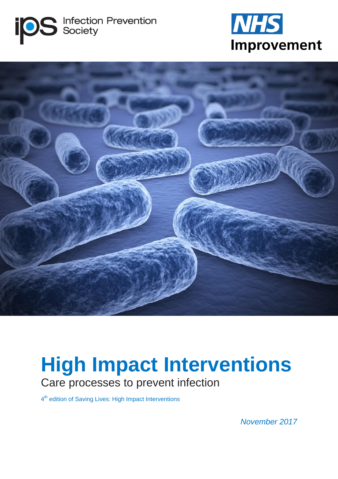





# **High Impact Interventions** Care processes to prevent infection

4<sup>th</sup> edition of Saving Lives: High Impact Interventions

*November 2017*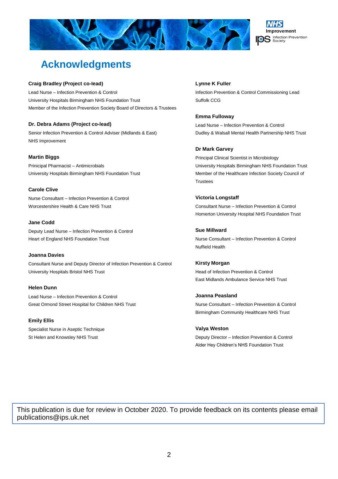



# **Acknowledgments**

#### **Craig Bradley (Project co-lead)**

Lead Nurse – Infection Prevention & Control University Hospitals Birmingham NHS Foundation Trust Member of the Infection Prevention Society Board of Directors & Trustees

#### **Dr. Debra Adams (Project co-lead)**

Senior Infection Prevention & Control Adviser (Midlands & East) NHS Improvement

#### **Martin Biggs**

Prinicipal Pharmacist – Antimicrobials University Hospitals Birmingham NHS Foundation Trust

**Carole Clive** Nurse Consultant – Infection Prevention & Control Worcestershire Health & Care NHS Trust

**Jane Codd** Deputy Lead Nurse – Infection Prevention & Control Heart of England NHS Foundation Trust

#### **Joanna Davies**

Consultant Nurse and Deputy Director of Infection Prevention & Control University Hospitals Bristol NHS Trust

**Helen Dunn** Lead Nurse – Infection Prevention & Control Great Ormond Street Hospital for Children NHS Trust

**Emily Ellis** Specialist Nurse in Aseptic Technique St Helen and Knowsley NHS Trust

#### **Lynne K Fuller**

Infection Prevention & Control Commissioning Lead Suffolk CCG

#### **Emma Fulloway**

Lead Nurse – Infection Prevention & Control Dudley & Walsall Mental Health Partnership NHS Trust

#### **Dr Mark Garvey**

Principal Clinical Scientist in Microbiology University Hospitals Birmingham NHS Foundation Trust Member of the Healthcare Infection Society Council of **Trustees** 

**Victoria Longstaff** Consultant Nurse – Infection Prevention & Control Homerton University Hospital NHS Foundation Trust

**Sue Millward** Nurse Consultant – Infection Prevention & Control Nuffield Health

**Kirsty Morgan** Head of Infection Prevention & Control East Midlands Ambulance Service NHS Trust

**Joanna Peasland** Nurse Consultant – Infection Prevention & Control Birmingham Community Healthcare NHS Trust

**Valya Weston** Deputy Director – Infection Prevention & Control Alder Hey Children's NHS Foundation Trust

This publication is due for review in October 2020. To provide feedback on its contents please email publications@ips.uk.net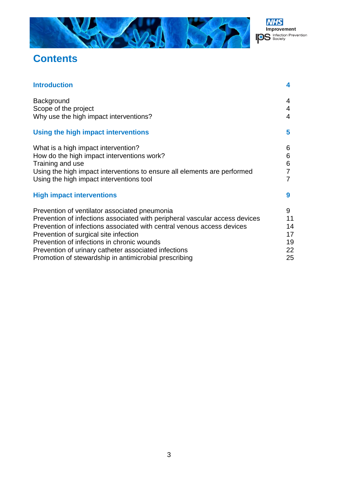



# **Contents**

| <b>Introduction</b>                                                         | 4  |
|-----------------------------------------------------------------------------|----|
| Background                                                                  | 4  |
| Scope of the project                                                        | 4  |
| Why use the high impact interventions?                                      | 4  |
| Using the high impact interventions                                         | 5  |
| What is a high impact intervention?                                         | 6  |
| How do the high impact interventions work?                                  | 6  |
| Training and use                                                            | 6  |
| Using the high impact interventions to ensure all elements are performed    | 7  |
| Using the high impact interventions tool                                    |    |
| <b>High impact interventions</b>                                            | 9  |
| Prevention of ventilator associated pneumonia                               | 9  |
| Prevention of infections associated with peripheral vascular access devices | 11 |
| Prevention of infections associated with central venous access devices      | 14 |
| Prevention of surgical site infection                                       | 17 |
| Prevention of infections in chronic wounds                                  | 19 |
| Prevention of urinary catheter associated infections                        | 22 |
| Promotion of stewardship in antimicrobial prescribing                       | 25 |
|                                                                             |    |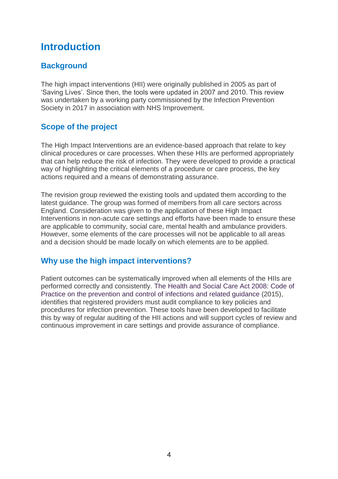# **Introduction**

# **Background**

The high impact interventions (HII) were originally published in 2005 as part of 'Saving Lives'. Since then, the tools were updated in 2007 and 2010. This review was undertaken by a working party commissioned by the Infection Prevention Society in 2017 in association with NHS Improvement.

# **Scope of the project**

The High Impact Interventions are an evidence-based approach that relate to key clinical procedures or care processes. When these HIIs are performed appropriately that can help reduce the risk of infection. They were developed to provide a practical way of highlighting the critical elements of a procedure or care process, the key actions required and a means of demonstrating assurance.

The revision group reviewed the existing tools and updated them according to the latest guidance. The group was formed of members from all care sectors across England. Consideration was given to the application of these High Impact Interventions in non-acute care settings and efforts have been made to ensure these are applicable to community, social care, mental health and ambulance providers. However, some elements of the care processes will not be applicable to all areas and a decision should be made locally on which elements are to be applied.

# **Why use the high impact interventions?**

Patient outcomes can be systematically improved when all elements of the HIIs are performed correctly and consistently. The Health and Social Care Act 2008: Code of Practice on the prevention and control of infections and related guidance (2015), identifies that registered providers must audit compliance to key policies and procedures for infection prevention. These tools have been developed to facilitate this by way of regular auditing of the HII actions and will support cycles of review and continuous improvement in care settings and provide assurance of compliance.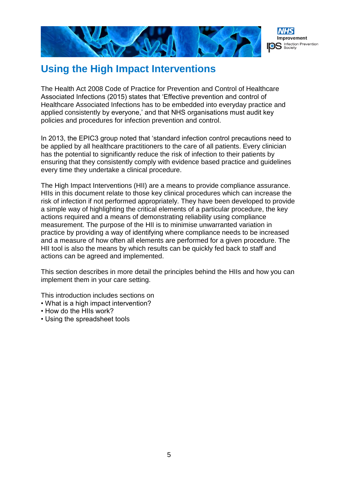

# **Using the High Impact Interventions**

The Health Act 2008 Code of Practice for Prevention and Control of Healthcare Associated Infections (2015) states that 'Effective prevention and control of Healthcare Associated Infections has to be embedded into everyday practice and applied consistently by everyone,' and that NHS organisations must audit key policies and procedures for infection prevention and control.

In 2013, the EPIC3 group noted that 'standard infection control precautions need to be applied by all healthcare practitioners to the care of all patients. Every clinician has the potential to significantly reduce the risk of infection to their patients by ensuring that they consistently comply with evidence based practice and guidelines every time they undertake a clinical procedure.

The High Impact Interventions (HII) are a means to provide compliance assurance. HIIs in this document relate to those key clinical procedures which can increase the risk of infection if not performed appropriately. They have been developed to provide a simple way of highlighting the critical elements of a particular procedure, the key actions required and a means of demonstrating reliability using compliance measurement. The purpose of the HII is to minimise unwarranted variation in practice by providing a way of identifying where compliance needs to be increased and a measure of how often all elements are performed for a given procedure. The HII tool is also the means by which results can be quickly fed back to staff and actions can be agreed and implemented.

This section describes in more detail the principles behind the HIIs and how you can implement them in your care setting.

This introduction includes sections on

- What is a high impact intervention?
- How do the HIIs work?
- Using the spreadsheet tools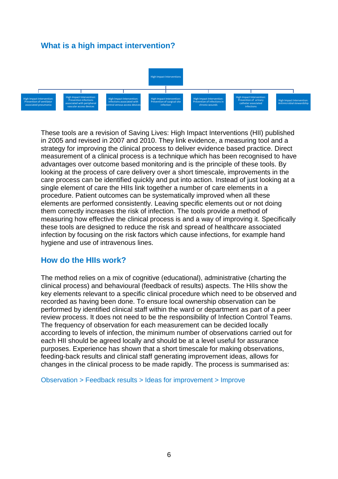# **What is a high impact intervention?**



These tools are a revision of Saving Lives: High Impact Interventions (HII) published in 2005 and revised in 2007 and 2010. They link evidence, a measuring tool and a strategy for improving the clinical process to deliver evidence based practice. Direct measurement of a clinical process is a technique which has been recognised to have advantages over outcome based monitoring and is the principle of these tools. By looking at the process of care delivery over a short timescale, improvements in the care process can be identified quickly and put into action. Instead of just looking at a single element of care the HIIs link together a number of care elements in a procedure. Patient outcomes can be systematically improved when all these elements are performed consistently. Leaving specific elements out or not doing them correctly increases the risk of infection. The tools provide a method of measuring how effective the clinical process is and a way of improving it. Specifically these tools are designed to reduce the risk and spread of healthcare associated infection by focusing on the risk factors which cause infections, for example hand hygiene and use of intravenous lines.

# **How do the HIIs work?**

The method relies on a mix of cognitive (educational), administrative (charting the clinical process) and behavioural (feedback of results) aspects. The HIIs show the key elements relevant to a specific clinical procedure which need to be observed and recorded as having been done. To ensure local ownership observation can be performed by identified clinical staff within the ward or department as part of a peer review process. It does not need to be the responsibility of Infection Control Teams. The frequency of observation for each measurement can be decided locally according to levels of infection, the minimum number of observations carried out for each HII should be agreed locally and should be at a level useful for assurance purposes. Experience has shown that a short timescale for making observations, feeding-back results and clinical staff generating improvement ideas, allows for changes in the clinical process to be made rapidly. The process is summarised as:

Observation > Feedback results > Ideas for improvement > Improve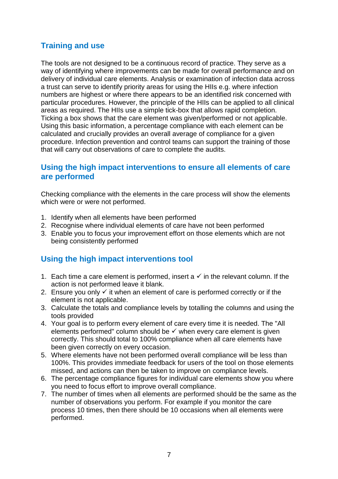# **Training and use**

The tools are not designed to be a continuous record of practice. They serve as a way of identifying where improvements can be made for overall performance and on delivery of individual care elements. Analysis or examination of infection data across a trust can serve to identify priority areas for using the HIIs e.g. where infection numbers are highest or where there appears to be an identified risk concerned with particular procedures. However, the principle of the HIIs can be applied to all clinical areas as required. The HIIs use a simple tick-box that allows rapid completion. Ticking a box shows that the care element was given/performed or not applicable. Using this basic information, a percentage compliance with each element can be calculated and crucially provides an overall average of compliance for a given procedure. Infection prevention and control teams can support the training of those that will carry out observations of care to complete the audits.

# **Using the high impact interventions to ensure all elements of care are performed**

Checking compliance with the elements in the care process will show the elements which were or were not performed.

- 1. Identify when all elements have been performed
- 2. Recognise where individual elements of care have not been performed
- 3. Enable you to focus your improvement effort on those elements which are not being consistently performed

# **Using the high impact interventions tool**

- 1. Each time a care element is performed, insert a  $\checkmark$  in the relevant column. If the action is not performed leave it blank.
- 2. Ensure you only  $\checkmark$  it when an element of care is performed correctly or if the element is not applicable.
- 3. Calculate the totals and compliance levels by totalling the columns and using the tools provided
- 4. Your goal is to perform every element of care every time it is needed. The "All elements performed" column should be  $\checkmark$  when every care element is given correctly. This should total to 100% compliance when all care elements have been given correctly on every occasion.
- 5. Where elements have not been performed overall compliance will be less than 100%. This provides immediate feedback for users of the tool on those elements missed, and actions can then be taken to improve on compliance levels.
- 6. The percentage compliance figures for individual care elements show you where you need to focus effort to improve overall compliance.
- 7. The number of times when all elements are performed should be the same as the number of observations you perform. For example if you monitor the care process 10 times, then there should be 10 occasions when all elements were performed.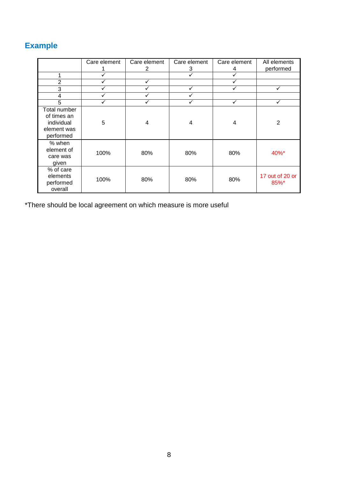# **Example**

|                                                                       | Care element | Care element<br>2 | Care element<br>3 | Care element<br>4 | All elements<br>performed |
|-----------------------------------------------------------------------|--------------|-------------------|-------------------|-------------------|---------------------------|
|                                                                       | ✓            |                   | ✓                 | ✓                 |                           |
| $\overline{2}$                                                        | ✓            |                   |                   |                   |                           |
| 3                                                                     | ✓            |                   |                   |                   | ✓                         |
| 4                                                                     | ✓            |                   |                   |                   |                           |
| 5                                                                     | ✓            |                   |                   | ✓                 | ✓                         |
| Total number<br>of times an<br>individual<br>element was<br>performed | 5            | 4                 | 4                 | 4                 | $\overline{2}$            |
| % when<br>element of<br>care was<br>given                             | 100%         | 80%               | 80%               | 80%               | 40%*                      |
| % of care<br>elements<br>performed<br>overall                         | 100%         | 80%               | 80%               | 80%               | 17 out of 20 or<br>85%*   |

\*There should be local agreement on which measure is more useful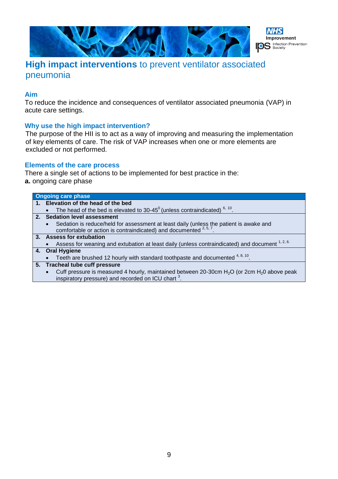



# **High impact interventions** to prevent ventilator associated pneumonia

# **Aim**

To reduce the incidence and consequences of ventilator associated pneumonia (VAP) in acute care settings.

# **Why use the high impact intervention?**

The purpose of the HII is to act as a way of improving and measuring the implementation of key elements of care. The risk of VAP increases when one or more elements are excluded or not performed.

# **Elements of the care process**

There a single set of actions to be implemented for best practice in the: **a.** ongoing care phase

| <b>Ongoing care phase</b>                                                                                                                                              |
|------------------------------------------------------------------------------------------------------------------------------------------------------------------------|
| 1. Elevation of the head of the bed                                                                                                                                    |
| The head of the bed is elevated to 30-45 $^{\circ}$ (unless contraindicated) $^{\circ}$ , $^{\circ}$ .                                                                 |
| 2. Sedation level assessment                                                                                                                                           |
| Sedation is reduce/held for assessment at least daily (unless the patient is awake and comfortable or action is contraindicated) and documented $2,5,7$ .<br>$\bullet$ |
| 3. Assess for extubation                                                                                                                                               |
| Assess for weaning and extubation at least daily (unless contraindicated) and document 1, 2, 6.                                                                        |
| 4. Oral Hygiene                                                                                                                                                        |
| Teeth are brushed 12 hourly with standard toothpaste and documented $4, 8, 10$ .                                                                                       |
| 5. Tracheal tube cuff pressure                                                                                                                                         |
| Cuff pressure is measured 4 hourly, maintained between 20-30cm $H_2O$ (or 2cm $H_2O$ above peak<br>$\bullet$                                                           |
| inspiratory pressure) and recorded on ICU chart <sup>3</sup> .                                                                                                         |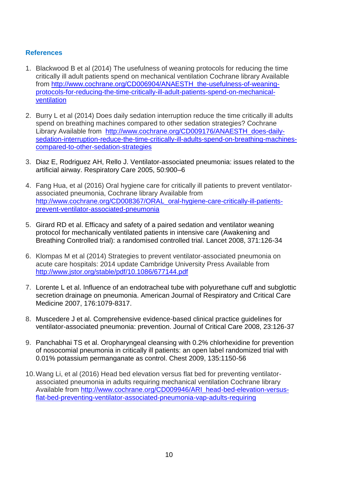- 1. Blackwood B et al (2014) The usefulness of weaning protocols for reducing the time critically ill adult patients spend on mechanical ventilation Cochrane library Available from [http://www.cochrane.org/CD006904/ANAESTH\\_the-usefulness-of-weaning](http://www.cochrane.org/CD006904/ANAESTH_the-usefulness-of-weaning-protocols-for-reducing-the-time-critically-ill-adult-patients-spend-on-mechanical-ventilation)[protocols-for-reducing-the-time-critically-ill-adult-patients-spend-on-mechanical](http://www.cochrane.org/CD006904/ANAESTH_the-usefulness-of-weaning-protocols-for-reducing-the-time-critically-ill-adult-patients-spend-on-mechanical-ventilation)[ventilation](http://www.cochrane.org/CD006904/ANAESTH_the-usefulness-of-weaning-protocols-for-reducing-the-time-critically-ill-adult-patients-spend-on-mechanical-ventilation)
- 2. Burry L et al (2014) Does daily sedation interruption reduce the time critically ill adults spend on breathing machines compared to other sedation strategies? Cochrane Library Available from [http://www.cochrane.org/CD009176/ANAESTH\\_does-daily](http://www.cochrane.org/CD009176/ANAESTH_does-daily-sedation-interruption-reduce-the-time-critically-ill-adults-spend-on-breathing-machines-compared-to-other-sedation-strategies)[sedation-interruption-reduce-the-time-critically-ill-adults-spend-on-breathing-machines](http://www.cochrane.org/CD009176/ANAESTH_does-daily-sedation-interruption-reduce-the-time-critically-ill-adults-spend-on-breathing-machines-compared-to-other-sedation-strategies)[compared-to-other-sedation-strategies](http://www.cochrane.org/CD009176/ANAESTH_does-daily-sedation-interruption-reduce-the-time-critically-ill-adults-spend-on-breathing-machines-compared-to-other-sedation-strategies)
- 3. Diaz E, Rodriguez AH, Rello J. Ventilator-associated pneumonia: issues related to the artificial airway. Respiratory Care 2005, 50:900–6
- 4. Fang Hua, et al (2016) Oral hygiene care for critically ill patients to prevent ventilatorassociated pneumonia, Cochrane library Available from [http://www.cochrane.org/CD008367/ORAL\\_oral-hygiene-care-critically-ill-patients](http://www.cochrane.org/CD008367/ORAL_oral-hygiene-care-critically-ill-patients-prevent-ventilator-associated-pneumonia)[prevent-ventilator-associated-pneumonia](http://www.cochrane.org/CD008367/ORAL_oral-hygiene-care-critically-ill-patients-prevent-ventilator-associated-pneumonia)
- 5. Girard RD et al. Efficacy and safety of a paired sedation and ventilator weaning protocol for mechanically ventilated patients in intensive care (Awakening and Breathing Controlled trial): a randomised controlled trial. Lancet 2008, 371:126-34
- 6. Klompas M et al (2014) Strategies to prevent ventilator-associated pneumonia on acute care hospitals: 2014 update Cambridge University Press Available from <http://www.jstor.org/stable/pdf/10.1086/677144.pdf>
- 7. Lorente L et al. Influence of an endotracheal tube with polyurethane cuff and subglottic secretion drainage on pneumonia. American Journal of Respiratory and Critical Care Medicine 2007, 176:1079-8317.
- 8. Muscedere J et al. Comprehensive evidence-based clinical practice guidelines for ventilator-associated pneumonia: prevention. Journal of Critical Care 2008, 23:126-37
- 9. Panchabhai TS et al. Oropharyngeal cleansing with 0.2% chlorhexidine for prevention of nosocomial pneumonia in critically ill patients: an open label randomized trial with 0.01% potassium permanganate as control. Chest 2009, 135:1150-56
- 10.Wang Li, et al (2016) Head bed elevation versus flat bed for preventing ventilatorassociated pneumonia in adults requiring mechanical ventilation Cochrane library Available from [http://www.cochrane.org/CD009946/ARI\\_head-bed-elevation-versus](http://www.cochrane.org/CD009946/ARI_head-bed-elevation-versus-flat-bed-preventing-ventilator-associated-pneumonia-vap-adults-requiring)[flat-bed-preventing-ventilator-associated-pneumonia-vap-adults-requiring](http://www.cochrane.org/CD009946/ARI_head-bed-elevation-versus-flat-bed-preventing-ventilator-associated-pneumonia-vap-adults-requiring)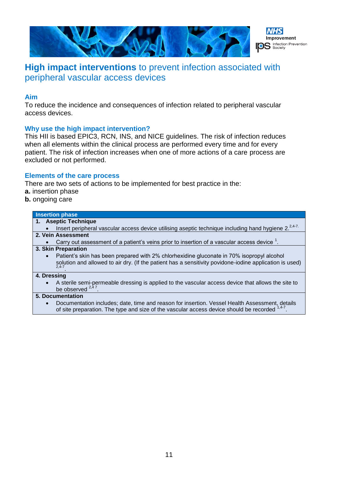

# **High impact interventions** to prevent infection associated with peripheral vascular access devices

### **Aim**

To reduce the incidence and consequences of infection related to peripheral vascular access devices.

# **Why use the high impact intervention?**

This HII is based EPIC3, RCN, INS, and NICE guidelines. The risk of infection reduces when all elements within the clinical process are performed every time and for every patient. The risk of infection increases when one of more actions of a care process are excluded or not performed.

# **Elements of the care process**

There are two sets of actions to be implemented for best practice in the:

- **a.** insertion phase
- **b.** ongoing care

#### **Insertion phase 1. Aseptic Technique** Insert peripheral vascular access device utilising aseptic technique including hand hygiene 2.<sup>2,4-7.</sup> **2. Vein Assessment** • Carry out assessment of a patient's veins prior to insertion of a vascular access device  $1$ . **3. Skin Preparation** Patient's skin has been prepared with 2% chlorhexidine gluconate in 70% isopropyl alcohol solution and allowed to air dry. (If the patient has a sensitivity povidone-iodine application is used) 2,4-7 . **4. Dressing** A sterile semi-permeable dressing is applied to the vascular access device that allows the site to be observed  $^{2,4}$ . **5. Documentation**

 Documentation includes; date, time and reason for insertion. Vessel Health Assessment, details of site preparation. The type and size of the vascular access device should be recorded  $1,4-7$ .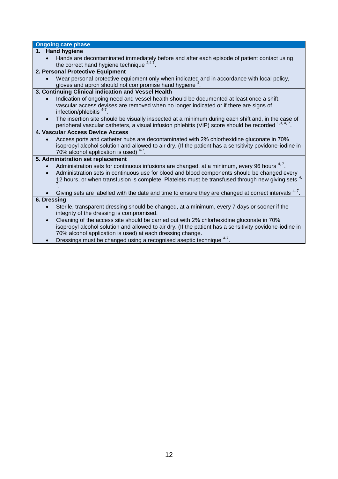| <b>Ongoing care phase</b>                                                                                                                                                                                       |
|-----------------------------------------------------------------------------------------------------------------------------------------------------------------------------------------------------------------|
| 1. Hand hygiene                                                                                                                                                                                                 |
| Hands are decontaminated immediately before and after each episode of patient contact using                                                                                                                     |
| the correct hand hygiene technique <sup>2,4,7</sup>                                                                                                                                                             |
| 2. Personal Protective Equipment                                                                                                                                                                                |
| Wear personal protective equipment only when indicated and in accordance with local policy,                                                                                                                     |
| gloves and apron should not compromise hand hygiene <sup>4</sup> .                                                                                                                                              |
| 3. Continuing Clinical indication and Vessel Health                                                                                                                                                             |
| Indication of ongoing need and vessel health should be documented at least once a shift,<br>$\bullet$                                                                                                           |
| vascular access devises are removed when no longer indicated or if there are signs of<br>infection/phlebitis <sup>4-7</sup> .                                                                                   |
| The insertion site should be visually inspected at a minimum during each shift and, in the case of<br>$\bullet$                                                                                                 |
| peripheral vascular catheters, a visual infusion phlebitis (VIP) score should be recorded 1,3, 4, 7.                                                                                                            |
| 4. Vascular Access Device Access                                                                                                                                                                                |
| Access ports and catheter hubs are decontaminated with 2% chlorhexidine gluconate in 70%                                                                                                                        |
| isopropyl alcohol solution and allowed to air dry. (If the patient has a sensitivity povidone-iodine in                                                                                                         |
| 70% alcohol application is used) <sup>4-7</sup> .                                                                                                                                                               |
| 5. Administration set replacement                                                                                                                                                                               |
| Administration sets for continuous infusions are changed, at a minimum, every 96 hours <sup>4, 7</sup> .<br>$\bullet$                                                                                           |
| Administration sets in continuous use for blood and blood components should be changed every<br>$\bullet$<br>12 hours, or when transfusion is complete. Platelets must be transfused through new giving sets 4, |
|                                                                                                                                                                                                                 |
| Giving sets are labelled with the date and time to ensure they are changed at correct intervals <sup>4, 7</sup> .                                                                                               |
| 6. Dressing                                                                                                                                                                                                     |
| Sterile, transparent dressing should be changed, at a minimum, every 7 days or sooner if the<br>$\bullet$                                                                                                       |
| integrity of the dressing is compromised.                                                                                                                                                                       |
| Cleaning of the access site should be carried out with 2% chlorhexidine gluconate in 70%<br>$\bullet$                                                                                                           |
| isopropyl alcohol solution and allowed to air dry. (If the patient has a sensitivity povidone-iodine in                                                                                                         |
| 70% alcohol application is used) at each dressing change.<br>$\overline{A}$                                                                                                                                     |

 $\bullet$  Dressings must be changed using a recognised aseptic technique  $^{4-7}$ .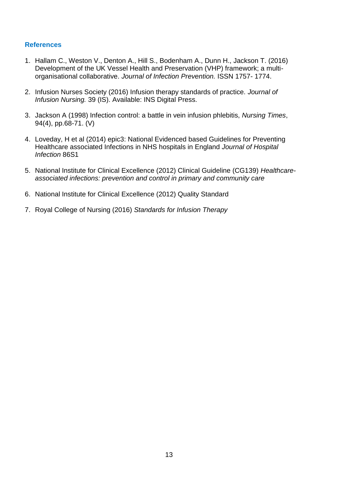- 1. Hallam C., Weston V., Denton A., Hill S., Bodenham A., Dunn H., Jackson T. (2016) Development of the UK Vessel Health and Preservation (VHP) framework; a multiorganisational collaborative. *Journal of Infection Prevention.* ISSN 1757- 1774.
- 2. Infusion Nurses Society (2016) Infusion therapy standards of practice. *Journal of Infusion Nursing.* 39 (IS). Available: INS Digital Press.
- 3. Jackson A (1998) Infection control: a battle in vein infusion phlebitis, *Nursing Times*, 94(4), pp.68-71. (V)
- 4. Loveday, H et al (2014) epic3: National Evidenced based Guidelines for Preventing Healthcare associated Infections in NHS hospitals in England *Journal of Hospital Infection* 86S1
- 5. National Institute for Clinical Excellence (2012) Clinical Guideline (CG139) *Healthcareassociated infections: prevention and control in primary and community care*
- 6. National Institute for Clinical Excellence (2012) Quality Standard
- 7. Royal College of Nursing (2016) *Standards for Infusion Therapy*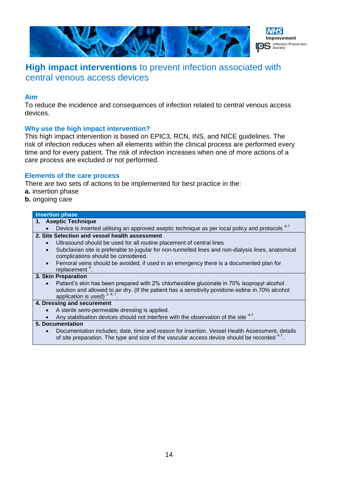

# **High impact interventions** to prevent infection associated with central venous access devices

### **Aim**

To reduce the incidence and consequences of infection related to central venous access devices.

# **Why use the high impact intervention?**

This high impact intervention is based on EPIC3, RCN, INS, and NICE guidelines. The risk of infection reduces when all elements within the clinical process are performed every time and for every patient. The risk of infection increases when one of more actions of a care process are excluded or not performed.

### **Elements of the care process**

There are two sets of actions to be implemented for best practice in the:

- **a.** insertion phase
- **b.** ongoing care

#### **Insertion phase**

| <b>Aseptic Technique</b><br>1.                                                                                                                                                                                                                  |  |
|-------------------------------------------------------------------------------------------------------------------------------------------------------------------------------------------------------------------------------------------------|--|
| Device is inserted utilising an approved aseptic technique as per local policy and protocols <sup>4-7</sup>                                                                                                                                     |  |
| 2. Site Selection and vessel health assessment                                                                                                                                                                                                  |  |
| Ultrasound should be used for all routine placement of central lines                                                                                                                                                                            |  |
| Subclavian site is preferable to jugular for non-tunnelled lines and non-dialysis lines, anatomical<br>complications should be considered.                                                                                                      |  |
| Femoral veins should be avoided, if used in an emergency there is a documented plan for<br>replacement $4$ .                                                                                                                                    |  |
| 3. Skin Preparation                                                                                                                                                                                                                             |  |
| Patient's skin has been prepared with 2% chlorhexidine gluconate in 70% isopropyl alcohol<br>$\bullet$<br>solution and allowed to air dry. (If the patient has a sensitivity povidone-iodine in 70% alcohol<br>application is used) $2, 4, 7$ . |  |
| 4. Dressing and securement                                                                                                                                                                                                                      |  |
| A sterile semi-permeable dressing is applied.                                                                                                                                                                                                   |  |
| Any stabilisation devices should not interfere with the observation of the site 4-7.                                                                                                                                                            |  |

#### **5. Documentation**

 Documentation includes; date, time and reason for insertion. Vessel Health Assessment, details of site preparation. The type and size of the vascular access device should be recorded  $^{4-7}$ .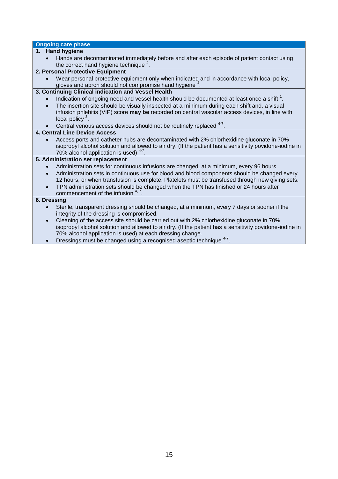|                        | <b>Ongoing care phase</b>                                                                                                                                                                                                                                                                                                                                                                                                |
|------------------------|--------------------------------------------------------------------------------------------------------------------------------------------------------------------------------------------------------------------------------------------------------------------------------------------------------------------------------------------------------------------------------------------------------------------------|
|                        | 1. Hand hygiene                                                                                                                                                                                                                                                                                                                                                                                                          |
|                        | Hands are decontaminated immediately before and after each episode of patient contact using<br>the correct hand hygiene technique <sup>4</sup> .                                                                                                                                                                                                                                                                         |
|                        | 2. Personal Protective Equipment                                                                                                                                                                                                                                                                                                                                                                                         |
|                        | Wear personal protective equipment only when indicated and in accordance with local policy,<br>gloves and apron should not compromise hand hygiene <sup>4</sup> .                                                                                                                                                                                                                                                        |
|                        | 3. Continuing Clinical indication and Vessel Health                                                                                                                                                                                                                                                                                                                                                                      |
|                        | Indication of ongoing need and vessel health should be documented at least once a shift <sup>1</sup> .<br>The insertion site should be visually inspected at a minimum during each shift and, a visual<br>infusion phlebitis (VIP) score may be recorded on central vascular access devices, in line with<br>local policy $3$ .                                                                                          |
|                        | Central venous access devices should not be routinely replaced <sup>4-7</sup> .                                                                                                                                                                                                                                                                                                                                          |
|                        | 4. Central Line Device Access                                                                                                                                                                                                                                                                                                                                                                                            |
|                        | Access ports and catheter hubs are decontaminated with 2% chlorhexidine gluconate in 70%<br>isopropyl alcohol solution and allowed to air dry. (If the patient has a sensitivity povidone-iodine in<br>70% alcohol application is used) <sup>4-7</sup> .                                                                                                                                                                 |
|                        | 5. Administration set replacement                                                                                                                                                                                                                                                                                                                                                                                        |
| $\bullet$<br>$\bullet$ | Administration sets for continuous infusions are changed, at a minimum, every 96 hours.<br>Administration sets in continuous use for blood and blood components should be changed every<br>12 hours, or when transfusion is complete. Platelets must be transfused through new giving sets.<br>TPN administration sets should be changed when the TPN has finished or 24 hours after<br>commencement of the infusion 4,7 |
| 6. Dressing            |                                                                                                                                                                                                                                                                                                                                                                                                                          |
|                        | Sterile, transparent dressing should be changed, at a minimum, every 7 days or sooner if the<br>integrity of the dressing is compromised.                                                                                                                                                                                                                                                                                |
|                        | Cleaning of the access site should be carried out with 2% chlorhexidine gluconate in 70%<br>isopropyl alcohol solution and allowed to air dry. (If the patient has a sensitivity povidone-iodine in<br>70% alcohol application is used) at each dressing change.                                                                                                                                                         |

 $\bullet$  Dressings must be changed using a recognised aseptic technique  $^{4-7}$ .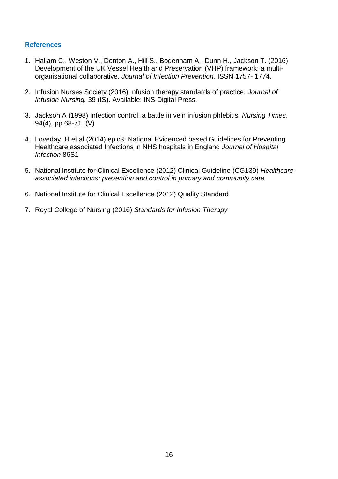- 1. Hallam C., Weston V., Denton A., Hill S., Bodenham A., Dunn H., Jackson T. (2016) Development of the UK Vessel Health and Preservation (VHP) framework; a multiorganisational collaborative. *Journal of Infection Prevention.* ISSN 1757- 1774.
- 2. Infusion Nurses Society (2016) Infusion therapy standards of practice. *Journal of Infusion Nursing.* 39 (IS). Available: INS Digital Press.
- 3. Jackson A (1998) Infection control: a battle in vein infusion phlebitis, *Nursing Times*, 94(4), pp.68-71. (V)
- 4. Loveday, H et al (2014) epic3: National Evidenced based Guidelines for Preventing Healthcare associated Infections in NHS hospitals in England *Journal of Hospital Infection* 86S1
- 5. National Institute for Clinical Excellence (2012) Clinical Guideline (CG139) *Healthcareassociated infections: prevention and control in primary and community care*
- 6. National Institute for Clinical Excellence (2012) Quality Standard
- 7. Royal College of Nursing (2016) *Standards for Infusion Therapy*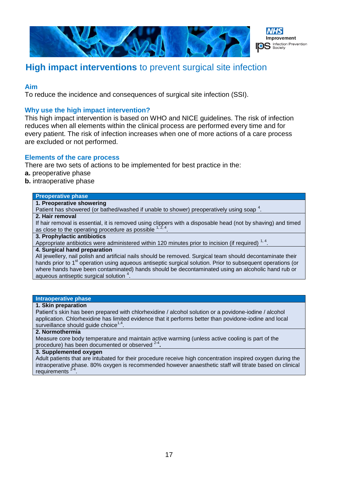



# **High impact interventions** to prevent surgical site infection

### **Aim**

To reduce the incidence and consequences of surgical site infection (SSI).

### **Why use the high impact intervention?**

This high impact intervention is based on WHO and NICE guidelines. The risk of infection reduces when all elements within the clinical process are performed every time and for every patient. The risk of infection increases when one of more actions of a care process are excluded or not performed.

### **Elements of the care process**

There are two sets of actions to be implemented for best practice in the:

- **a.** preoperative phase
- **b.** intraoperative phase

#### **Preoperative phase**

**1. Preoperative showering** 

Patient has showered (or bathed/washed if unable to shower) preoperatively using soap  $^4$ .

# **2. Hair removal**

If hair removal is essential, it is removed using clippers with a disposable head (not by shaving) and timed as close to the operating procedure as possible .

# **3. Prophylactic antibiotics**

Appropriate antibiotics were administered within 120 minutes prior to incision (if required)  $^{1,4}$ .

#### **4. Surgical hand preparation**

All jewellery, nail polish and artificial nails should be removed. Surgical team should decontaminate their hands prior to 1<sup>st</sup> operation using aqueous antiseptic surgical solution. Prior to subsequent operations (or where hands have been contaminated) hands should be decontaminated using an alcoholic hand rub or aqueous antiseptic surgical solution <sup>4</sup> .

#### **Intraoperative phase**

#### **1. Skin preparation**

Patient's skin has been prepared with chlorhexidine / alcohol solution or a povidone-iodine / alcohol application. Chlorhexidine has limited evidence that it performs better than povidone-iodine and local surveillance should guide choice $^{1,4}$ .

#### **2. Normothermia**

Measure core body temperature and maintain active warming (unless active cooling is part of the procedure) has been documented or observed 2-4 **.**

#### **3. Supplemented oxygen**

Adult patients that are intubated for their procedure receive high concentration inspired oxygen during the intraoperative phase. 80% oxygen is recommended however anaesthetic staff will titrate based on clinical requirements .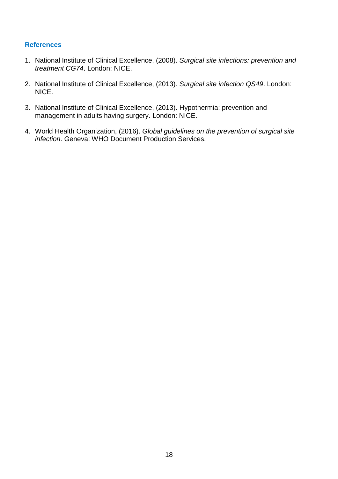- 1. National Institute of Clinical Excellence, (2008). *Surgical site infections: prevention and treatment CG74*. London: NICE.
- 2. National Institute of Clinical Excellence, (2013). *Surgical site infection QS49*. London: NICE.
- 3. National Institute of Clinical Excellence, (2013). Hypothermia: prevention and management in adults having surgery. London: NICE.
- 4. World Health Organization, (2016). *Global guidelines on the prevention of surgical site infection*. Geneva: WHO Document Production Services.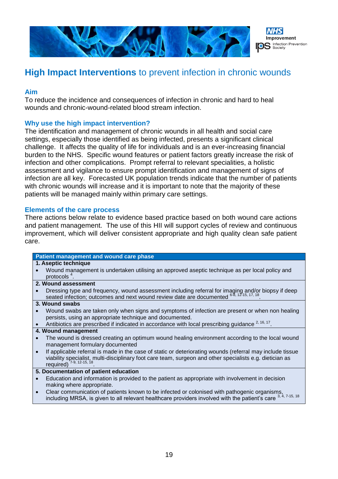

# **High Impact Interventions** to prevent infection in chronic wounds

### **Aim**

To reduce the incidence and consequences of infection in chronic and hard to heal wounds and chronic-wound-related blood stream infection.

# **Why use the high impact intervention?**

The identification and management of chronic wounds in all health and social care settings, especially those identified as being infected, presents a significant clinical challenge. It affects the quality of life for individuals and is an ever-increasing financial burden to the NHS. Specific wound features or patient factors greatly increase the risk of infection and other complications. Prompt referral to relevant specialities, a holistic assessment and vigilance to ensure prompt identification and management of signs of infection are all key. Forecasted UK population trends indicate that the number of patients with chronic wounds will increase and it is important to note that the majority of these patients will be managed mainly within primary care settings.

### **Elements of the care process**

There actions below relate to evidence based practice based on both wound care actions and patient management. The use of this HII will support cycles of review and continuous improvement, which will deliver consistent appropriate and high quality clean safe patient care.

|           | Patient management and wound care phase                                                                                                                                                                                                           |
|-----------|---------------------------------------------------------------------------------------------------------------------------------------------------------------------------------------------------------------------------------------------------|
|           | 1. Aseptic technique                                                                                                                                                                                                                              |
|           | Wound management is undertaken utilising an approved aseptic technique as per local policy and<br>protocols $4$ .                                                                                                                                 |
|           | 2. Wound assessment                                                                                                                                                                                                                               |
|           | Dressing type and frequency, wound assessment including referral for imaging and/or biopsy if deep seated infection; outcomes and next wound review date are documented 6-8, 12-15, 17, 18.                                                       |
|           | 3. Wound swabs                                                                                                                                                                                                                                    |
|           | Wound swabs are taken only when signs and symptoms of infection are present or when non healing<br>persists, using an appropriate technique and documented.                                                                                       |
|           | Antibiotics are prescribed if indicated in accordance with local prescribing guidance <sup>2, 16, 17</sup> .                                                                                                                                      |
|           | 4. Wound management                                                                                                                                                                                                                               |
|           | The wound is dressed creating an optimum wound healing environment according to the local wound<br>management formulary documented                                                                                                                |
| $\bullet$ | If applicable referral is made in the case of static or deteriorating wounds (referral may include tissue<br>viability specialist, multi-disciplinary foot care team, surgeon and other specialists e.g. dietician as<br>required) 7-9, 12-15, 18 |
|           | 5. Documentation of patient education                                                                                                                                                                                                             |
| $\bullet$ | Education and information is provided to the patient as appropriate with involvement in decision<br>making where appropriate.                                                                                                                     |
| $\bullet$ | Clear communication of patients known to be infected or colonised with pathogenic organisms,<br>including MRSA, is given to all relevant healthcare providers involved with the patient's care 3, 4, 7-15, 18                                     |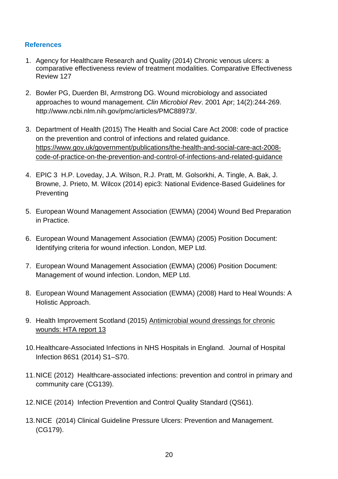- 1. Agency for Healthcare Research and Quality (2014) Chronic venous ulcers: a comparative effectiveness review of treatment modalities. Comparative Effectiveness Review 127
- 2. Bowler PG, Duerden BI, Armstrong DG. Wound microbiology and associated approaches to wound management. *Clin Microbiol Rev*. 2001 Apr; 14(2):244-269. [http://www.ncbi.nlm.nih.gov/pmc/articles/PMC88973/.](http://www.ncbi.nlm.nih.gov/pmc/articles/PMC88973/)
- 3. Department of Health (2015) The Health and Social Care Act 2008: code of practice on the prevention and control of infections and related guidance. [https://www.gov.uk/government/publications/the-health-and-social-care-act-2008](https://www.gov.uk/government/publications/the-health-and-social-care-act-2008-code-of-practice-on-the-prevention-and-control-of-infections-and-related-guidance) [code-of-practice-on-the-prevention-and-control-of-infections-and-related-guidance](https://www.gov.uk/government/publications/the-health-and-social-care-act-2008-code-of-practice-on-the-prevention-and-control-of-infections-and-related-guidance)
- 4. EPIC 3 H.P. Loveday, J.A. Wilson, R.J. Pratt, M. Golsorkhi, A. Tingle, A. Bak, J. Browne, J. Prieto, M. Wilcox (2014) epic3: National Evidence-Based Guidelines for **Preventing**
- 5. European Wound Management Association (EWMA) (2004) Wound Bed Preparation in Practice.
- 6. European Wound Management Association (EWMA) (2005) Position Document: Identifying criteria for wound infection. London, MEP Ltd.
- 7. European Wound Management Association (EWMA) (2006) Position Document: Management of wound infection. London, MEP Ltd.
- 8. European Wound Management Association (EWMA) (2008) Hard to Heal Wounds: A Holistic Approach.
- 9. Health Improvement Scotland (2015) [Antimicrobial wound dressings for chronic](http://www.healthcareimprovementscotland.org/his/idoc.ashx?docid=0b3f98a7-0f3e-46e7-b3fa-26ce63a9d387&version=-1)  [wounds: HTA report 13](http://www.healthcareimprovementscotland.org/his/idoc.ashx?docid=0b3f98a7-0f3e-46e7-b3fa-26ce63a9d387&version=-1)
- 10.Healthcare-Associated Infections in NHS Hospitals in England. Journal of Hospital Infection 86S1 (2014) S1–S70.
- 11.NICE (2012) Healthcare-associated infections: prevention and control in primary and community care (CG139).
- 12.NICE (2014) Infection Prevention and Control Quality Standard (QS61).
- 13.NICE (2014) Clinical Guideline Pressure Ulcers: Prevention and Management. (CG179).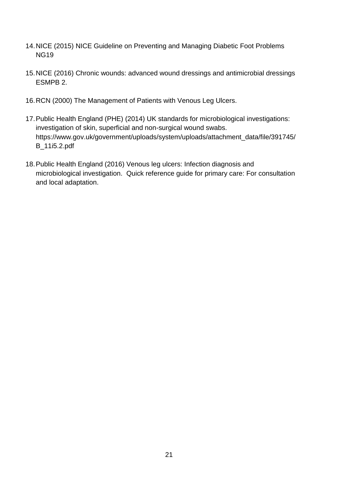- 14.NICE (2015) NICE Guideline on Preventing and Managing Diabetic Foot Problems NG19
- 15.NICE (2016) Chronic wounds: advanced wound dressings and antimicrobial dressings ESMPB 2.
- 16.RCN (2000) The Management of Patients with Venous Leg Ulcers.
- 17.Public Health England (PHE) (2014) UK standards for microbiological investigations: investigation of skin, superficial and non-surgical wound swabs. [https://www.gov.uk/government/uploads/system/uploads/attachment\\_data/file/391745/](https://www.gov.uk/government/uploads/system/uploads/attachment_data/file/391745/B_11i5.2.pdf) [B\\_11i5.2.pdf](https://www.gov.uk/government/uploads/system/uploads/attachment_data/file/391745/B_11i5.2.pdf)
- 18.Public Health England (2016) Venous leg ulcers: Infection diagnosis and microbiological investigation. Quick reference guide for primary care: For consultation and local adaptation.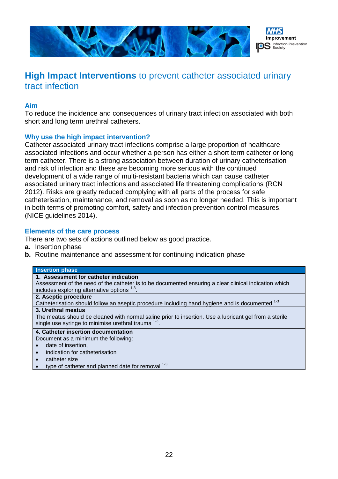

# **High Impact Interventions** to prevent catheter associated urinary tract infection

# **Aim**

To reduce the incidence and consequences of urinary tract infection associated with both short and long term urethral catheters.

# **Why use the high impact intervention?**

Catheter associated urinary tract infections comprise a large proportion of healthcare associated infections and occur whether a person has either a short term catheter or long term catheter. There is a strong association between duration of urinary catheterisation and risk of infection and these are becoming more serious with the continued development of a wide range of multi-resistant bacteria which can cause catheter associated urinary tract infections and associated life threatening complications (RCN 2012). Risks are greatly reduced complying with all parts of the process for safe catheterisation, maintenance, and removal as soon as no longer needed. This is important in both terms of promoting comfort, safety and infection prevention control measures. (NICE guidelines 2014).

#### **Elements of the care process**

There are two sets of actions outlined below as good practice.

- **a.** Insertion phase
- **b.** Routine maintenance and assessment for continuing indication phase

#### **Insertion phase**

#### **1. Assessment for catheter indication**

Assessment of the need of the catheter is to be documented ensuring a clear clinical indication which includes exploring alternative options  $1-3$ .

# **2. Aseptic procedure**

Catheterisation should follow an aseptic procedure including hand hygiene and is documented  $^{1-3}$ .

#### **3. Urethral meatus**

The meatus should be cleaned with normal saline prior to insertion. Use a lubricant gel from a sterile single use syringe to minimise urethral trauma  $1-3$ .

# **4. Catheter insertion documentation**

Document as a minimum the following:

- date of insertion.
- indication for catheterisation
- catheter size
- type of catheter and planned date for removal  $1-3$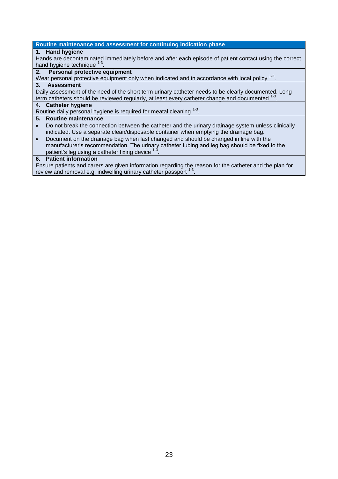#### **Routine maintenance and assessment for continuing indication phase**

#### **1. Hand hygiene**

Hands are decontaminated immediately before and after each episode of patient contact using the correct hand hygiene technique <sup>1-3</sup> .

### **2. Personal protective equipment**

Wear personal protective equipment only when indicated and in accordance with local policy  $^{1\text{-}3}$ .

#### **3. Assessment**

Daily assessment of the need of the short term urinary catheter needs to be clearly documented. Long term catheters should be reviewed regularly, at least every catheter change and documented <sup>1-3</sup> .

#### **4. Catheter hygiene**

Routine daily personal hygiene is required for meatal cleaning <sup>1-3</sup>.

#### **5. Routine maintenance**

- Do not break the connection between the catheter and the urinary drainage system unless clinically indicated. Use a separate clean/disposable container when emptying the drainage bag.
- Document on the drainage bag when last changed and should be changed in line with the manufacturer's recommendation. The urinary catheter tubing and leg bag should be fixed to the patient's leg using a catheter fixing device  $<sup>1</sup>$ </sup> .

#### **6. Patient information**

Ensure patients and carers are given information regarding the reason for the catheter and the plan for review and removal e.g. indwelling urinary catheter passport <sup>1-3</sup>.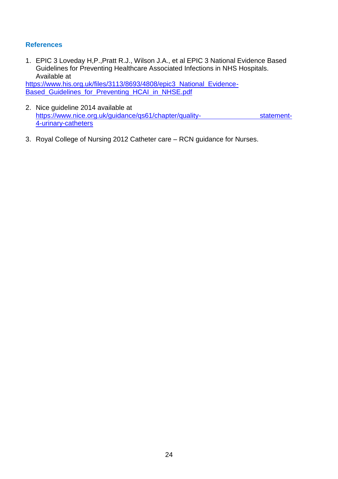1. EPIC 3 Loveday H,P.,Pratt R.J., Wilson J.A., et al EPIC 3 National Evidence Based Guidelines for Preventing Healthcare Associated Infections in NHS Hospitals. Available at

[https://www.his.org.uk/files/3113/8693/4808/epic3\\_National\\_Evidence-](https://www.his.org.uk/files/3113/8693/4808/epic3_National_Evidence-Based_Guidelines_for_Preventing_HCAI_in_NHSE.pdf)[Based\\_Guidelines\\_for\\_Preventing\\_HCAI\\_in\\_NHSE.pdf](https://www.his.org.uk/files/3113/8693/4808/epic3_National_Evidence-Based_Guidelines_for_Preventing_HCAI_in_NHSE.pdf)

- 2. Nice guideline 2014 available at [https://www.nice.org.uk/guidance/qs61/chapter/quality- statement-](https://www.nice.org.uk/guidance/qs61/chapter/quality-%20%20%20%20%20%20%20%20%20%20%20%20%20%20%20%20%20%20%20%20%20%20%20%20%20%20%20%20%20%20%20statement-4-urinary-catheters)[4-urinary-catheters](https://www.nice.org.uk/guidance/qs61/chapter/quality-%20%20%20%20%20%20%20%20%20%20%20%20%20%20%20%20%20%20%20%20%20%20%20%20%20%20%20%20%20%20%20statement-4-urinary-catheters)
- 3. Royal College of Nursing 2012 Catheter care RCN guidance for Nurses.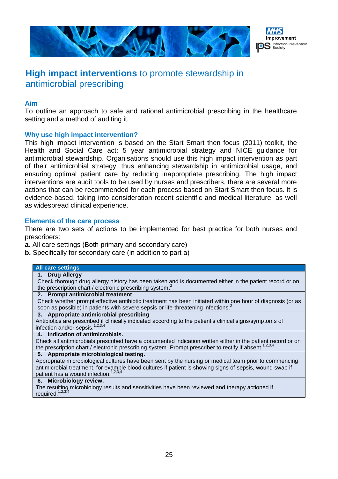



# **High impact interventions** to promote stewardship in antimicrobial prescribing

### **Aim**

To outline an approach to safe and rational antimicrobial prescribing in the healthcare setting and a method of auditing it.

# **Why use high impact intervention?**

This high impact intervention is based on the Start Smart then focus (2011) toolkit, the Health and Social Care act: 5 year antimicrobial strategy and NICE guidance for antimicrobial stewardship. Organisations should use this high impact intervention as part of their antimicrobial strategy, thus enhancing stewardship in antimicrobial usage, and ensuring optimal patient care by reducing inappropriate prescribing. The high impact interventions are audit tools to be used by nurses and prescribers, there are several more actions that can be recommended for each process based on Start Smart then focus. It is evidence-based, taking into consideration recent scientific and medical literature, as well as widespread clinical experience.

### **Elements of the care process**

There are two sets of actions to be implemented for best practice for both nurses and prescribers:

**a.** All care settings (Both primary and secondary care)

**b.** Specifically for secondary care (in addition to part a)

#### **All care settings**

**1. Drug Allergy**

Check thorough drug allergy history has been taken and is documented either in the patient record or on the prescription chart / electronic prescribing system.<sup>2</sup>

#### **2. Prompt antimicrobial treatment**

Check whether prompt effective antibiotic treatment has been initiated within one hour of diagnosis (or as soon as possible) in patients with severe sepsis or life-threatening infections.<sup>2</sup>

#### **3. Appropriate antimicrobial prescribing**

Antibiotics are prescribed if clinically indicated according to the patient's clinical signs/symptoms of infection and/or sepsis.<sup>1,2,3,4</sup>

#### **4. Indication of antimicrobials.**

Check all antimicrobials prescribed have a documented indication written either in the patient record or on the prescription chart / electronic prescribing system. Prompt prescriber to rectify if absent.<sup>1,2,3,4</sup>

#### **5. Appropriate microbiological testing.**

Appropriate microbiological cultures have been sent by the nursing or medical team prior to commencing antimicrobial treatment, for example blood cultures if patient is showing signs of sepsis, wound swab if patient has a wound infection.<sup>1,2,3,4</sup>

#### **6. Microbiology review.**

The resulting microbiology results and sensitivities have been reviewed and therapy actioned if required.<sup>1,2,3,4</sup>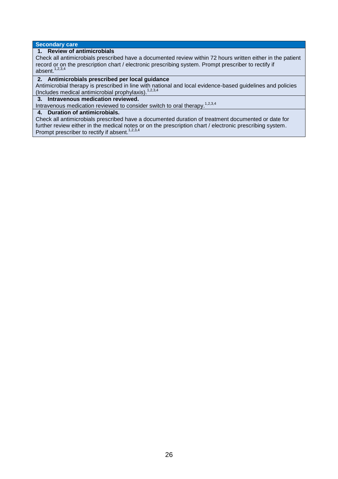#### **Secondary care**

#### **1. Review of antimicrobials**

Check all antimicrobials prescribed have a documented review within 72 hours written either in the patient record or on the prescription chart / electronic prescribing system. Prompt prescriber to rectify if absent. $1,2,3,4$ 

#### **2. Antimicrobials prescribed per local guidance**

Antimicrobial therapy is prescribed in line with national and local evidence-based guidelines and policies (Includes medical antimicrobial prophylaxis). $1,2,3,4$ 

#### **3. Intravenous medication reviewed.**

Intravenous medication reviewed to consider switch to oral therapy.<sup>1,2,3,4</sup>

#### **4. Duration of antimicrobials.**

Check all antimicrobials prescribed have a documented duration of treatment documented or date for further review either in the medical notes or on the prescription chart / electronic prescribing system. Prompt prescriber to rectify if absent.<sup>1,2,3,4</sup>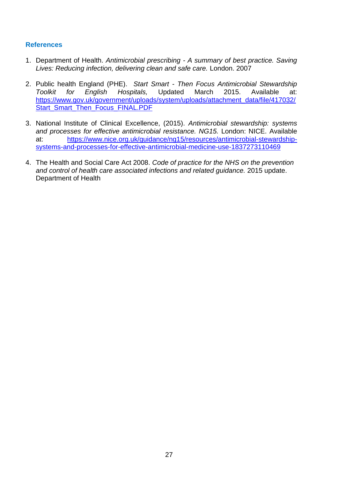- 1. Department of Health. *Antimicrobial prescribing - A summary of best practice. Saving Lives: Reducing infection, delivering clean and safe care.* London. 2007
- 2. Public health England (PHE). *Start Smart - Then Focus Antimicrobial Stewardship Toolkit for English Hospitals,* Updated March 2015. Available at: [https://www.gov.uk/government/uploads/system/uploads/attachment\\_data/file/417032/](https://www.gov.uk/government/uploads/system/uploads/attachment_data/file/417032/Start_Smart_Then_Focus_FINAL.PDF) [Start\\_Smart\\_Then\\_Focus\\_FINAL.PDF](https://www.gov.uk/government/uploads/system/uploads/attachment_data/file/417032/Start_Smart_Then_Focus_FINAL.PDF)
- 3. National Institute of Clinical Excellence, (2015). *Antimicrobial stewardship: systems and processes for effective antimicrobial resistance. NG15.* London: NICE. Available at: [https://www.nice.org.uk/guidance/ng15/resources/antimicrobial-stewardship](https://www.nice.org.uk/guidance/ng15/resources/antimicrobial-stewardship-systems-and-processes-for-effective-antimicrobial-medicine-use-1837273110469)[systems-and-processes-for-effective-antimicrobial-medicine-use-1837273110469](https://www.nice.org.uk/guidance/ng15/resources/antimicrobial-stewardship-systems-and-processes-for-effective-antimicrobial-medicine-use-1837273110469)
- 4. The Health and Social Care Act 2008. *Code of practice for the NHS on the prevention and control of health care associated infections and related guidance.* 2015 update. Department of Health